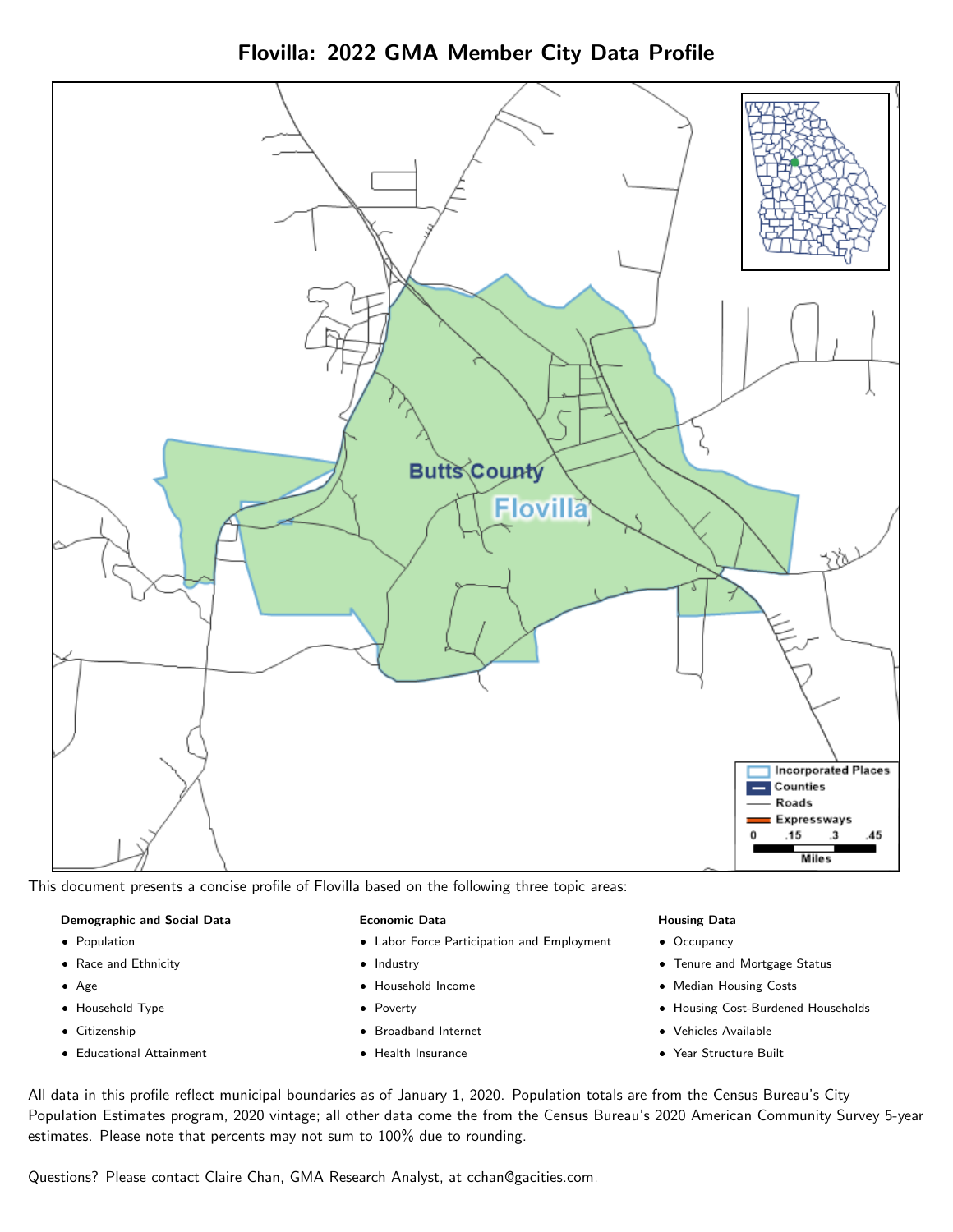Flovilla: 2022 GMA Member City Data Profile



This document presents a concise profile of Flovilla based on the following three topic areas:

#### Demographic and Social Data

- **•** Population
- Race and Ethnicity
- Age
- Household Type
- **Citizenship**
- Educational Attainment

#### Economic Data

- Labor Force Participation and Employment
- Industry
- Household Income
- Poverty
- Broadband Internet
- Health Insurance

## Housing Data

- Occupancy
- Tenure and Mortgage Status
- Median Housing Costs
- Housing Cost-Burdened Households
- Vehicles Available
- Year Structure Built

All data in this profile reflect municipal boundaries as of January 1, 2020. Population totals are from the Census Bureau's City Population Estimates program, 2020 vintage; all other data come the from the Census Bureau's 2020 American Community Survey 5-year estimates. Please note that percents may not sum to 100% due to rounding.

Questions? Please contact Claire Chan, GMA Research Analyst, at [cchan@gacities.com.](mailto:cchan@gacities.com)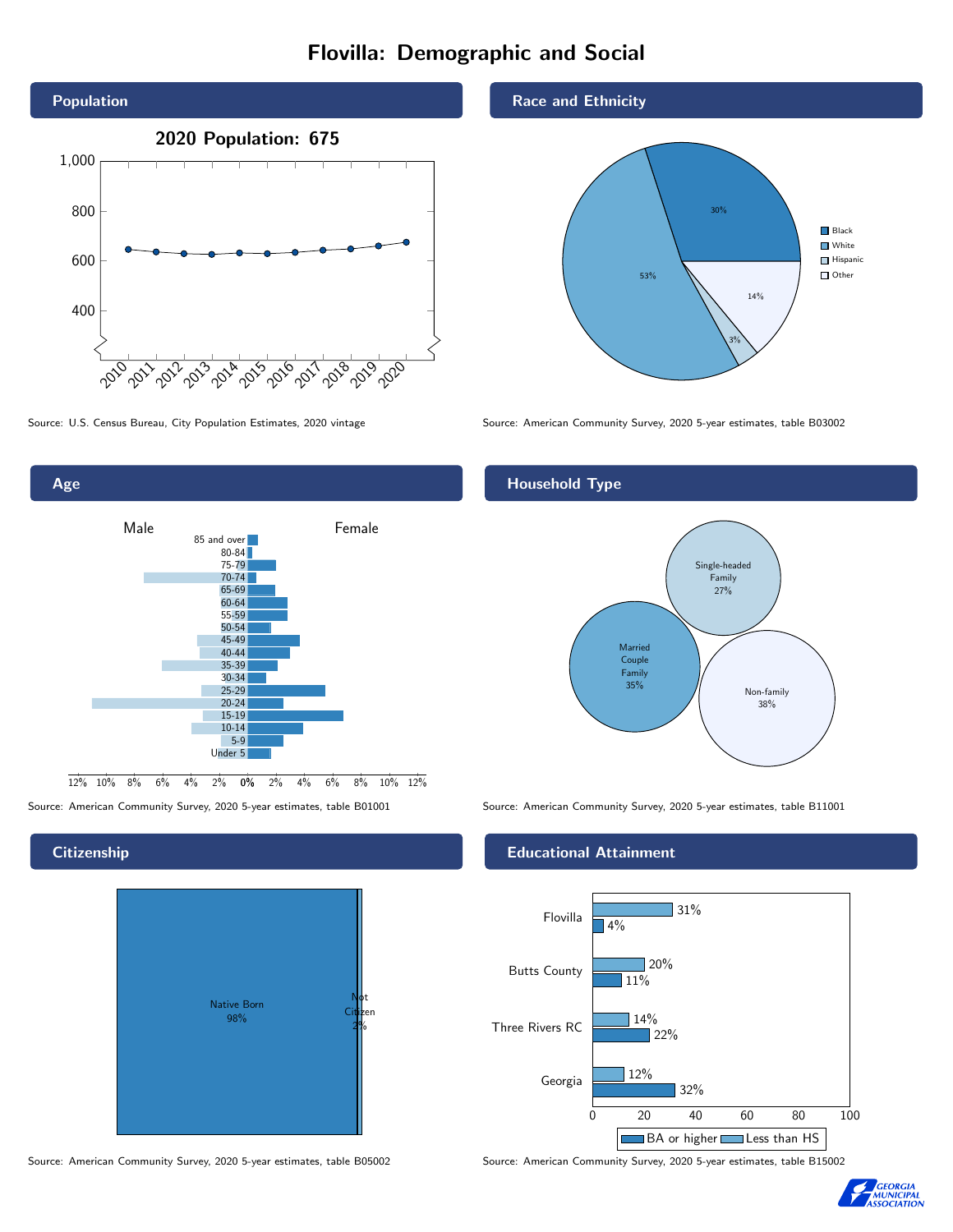# Flovilla: Demographic and Social



 $-4\%$  2% 0% 2% 4% 6% 8% 10% 12% Male **Female** 12% 10% 8% 6% 85 and over 80-84 75-79 70-74 65-69 60-64 55-59 50-54 45-49 40-44 35-39 30-34 25-29 20-24 15-19 10-14 5-9 Under 5

# **Citizenship**

Age



Source: American Community Survey, 2020 5-year estimates, table B05002 Source: American Community Survey, 2020 5-year estimates, table B15002

### Race and Ethnicity



Source: U.S. Census Bureau, City Population Estimates, 2020 vintage Source: American Community Survey, 2020 5-year estimates, table B03002

# Household Type



Source: American Community Survey, 2020 5-year estimates, table B01001 Source: American Community Survey, 2020 5-year estimates, table B11001

## Educational Attainment



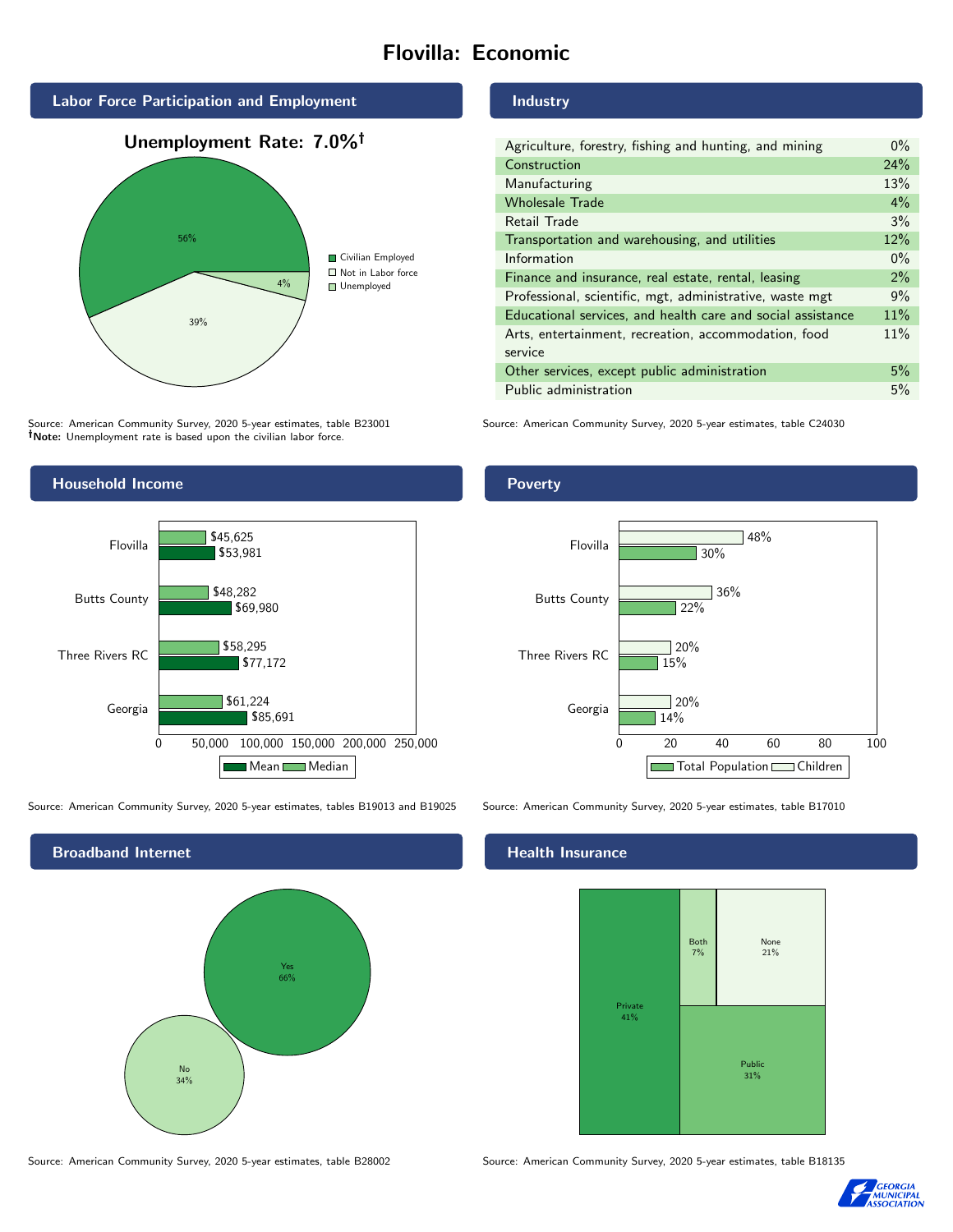# Flovilla: Economic



Source: American Community Survey, 2020 5-year estimates, table B23001 Note: Unemployment rate is based upon the civilian labor force.

# Industry

| Agriculture, forestry, fishing and hunting, and mining      | $0\%$ |
|-------------------------------------------------------------|-------|
| Construction                                                | 24%   |
| Manufacturing                                               | 13%   |
| <b>Wholesale Trade</b>                                      | 4%    |
| Retail Trade                                                | 3%    |
| Transportation and warehousing, and utilities               | 12%   |
| Information                                                 | $0\%$ |
| Finance and insurance, real estate, rental, leasing         | 2%    |
| Professional, scientific, mgt, administrative, waste mgt    | 9%    |
| Educational services, and health care and social assistance | 11%   |
| Arts, entertainment, recreation, accommodation, food        | 11%   |
| service                                                     |       |
| Other services, except public administration                | 5%    |
| Public administration                                       | 5%    |

Source: American Community Survey, 2020 5-year estimates, table C24030



Source: American Community Survey, 2020 5-year estimates, tables B19013 and B19025 Source: American Community Survey, 2020 5-year estimates, table B17010



Poverty



## Health Insurance



Source: American Community Survey, 2020 5-year estimates, table B28002 Source: American Community Survey, 2020 5-year estimates, table B18135